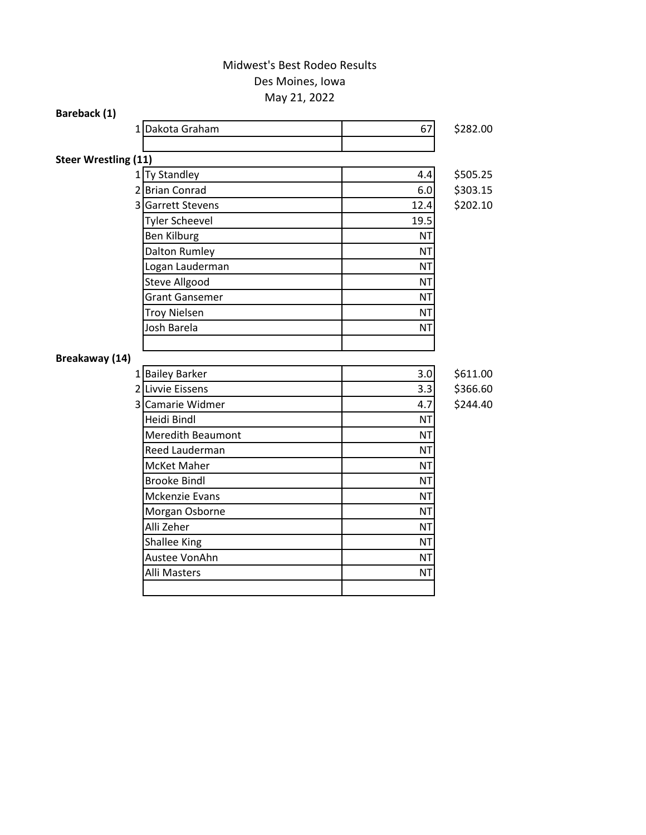## May 21, 2022 Des Moines, Iowa Midwest's Best Rodeo Results

| Bareback (1)                |                          |           |          |
|-----------------------------|--------------------------|-----------|----------|
| 11                          | Dakota Graham            | 67        | \$282.00 |
|                             |                          |           |          |
| <b>Steer Wrestling (11)</b> |                          |           |          |
|                             | 1 Ty Standley            | 4.4       | \$505.25 |
|                             | 2 Brian Conrad           | 6.0       | \$303.15 |
|                             | 3 Garrett Stevens        | 12.4      | \$202.10 |
|                             | <b>Tyler Scheevel</b>    | 19.5      |          |
|                             | <b>Ben Kilburg</b>       | <b>NT</b> |          |
|                             | Dalton Rumley            | <b>NT</b> |          |
|                             | Logan Lauderman          | <b>NT</b> |          |
|                             | <b>Steve Allgood</b>     | <b>NT</b> |          |
|                             | <b>Grant Gansemer</b>    | <b>NT</b> |          |
|                             | <b>Troy Nielsen</b>      | <b>NT</b> |          |
|                             | Josh Barela              | <b>NT</b> |          |
|                             |                          |           |          |
| Breakaway (14)              |                          |           |          |
|                             | 1 Bailey Barker          | 3.0       | \$611.00 |
|                             | 2 Livvie Eissens         | 3.3       | \$366.60 |
|                             | 3 Camarie Widmer         | 4.7       | \$244.40 |
|                             | Heidi Bindl              | <b>NT</b> |          |
|                             | <b>Meredith Beaumont</b> | <b>NT</b> |          |
|                             | Reed Lauderman           | <b>NT</b> |          |
|                             | McKet Maher              | <b>NT</b> |          |
|                             | <b>Brooke Bindl</b>      | <b>NT</b> |          |
|                             | <b>Mckenzie Evans</b>    | <b>NT</b> |          |
|                             | Morgan Osborne           | <b>NT</b> |          |
|                             | Alli Zeher               | <b>NT</b> |          |
|                             | <b>Shallee King</b>      | <b>NT</b> |          |
|                             | Austee VonAhn            | <b>NT</b> |          |
|                             | Alli Masters             | <b>NT</b> |          |
|                             |                          |           |          |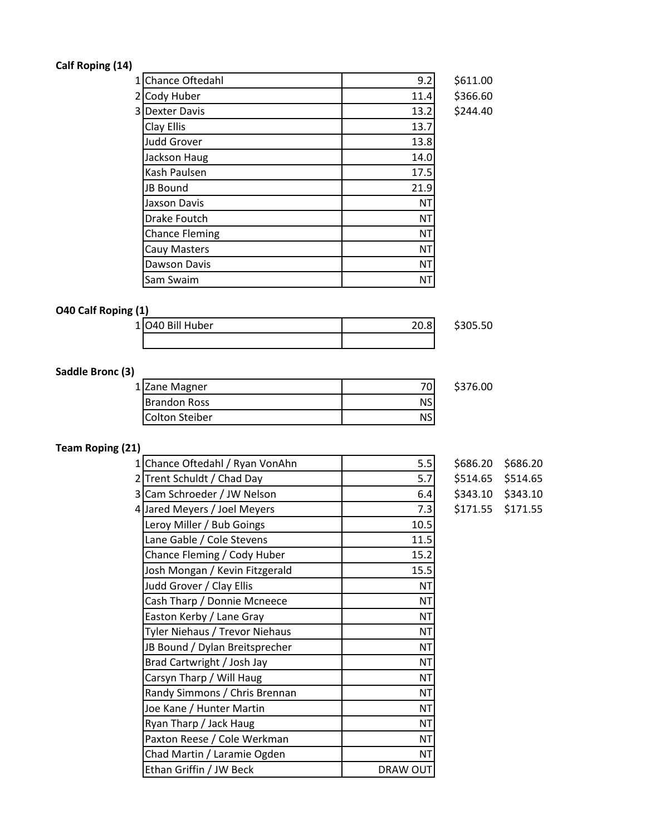## **Calf Roping (14)**

| 1 Chance Oftedahl     | 9.2       | \$611.00 |
|-----------------------|-----------|----------|
| 21<br>Cody Huber      | 11.4      | \$366.60 |
| <b>3 Dexter Davis</b> | 13.2      | \$244.40 |
| Clay Ellis            | 13.7      |          |
| <b>Judd Grover</b>    | 13.8      |          |
| Jackson Haug          | 14.0      |          |
| Kash Paulsen          | 17.5      |          |
| JB Bound              | 21.9      |          |
| Jaxson Davis          | <b>NT</b> |          |
| Drake Foutch          | <b>NT</b> |          |
| <b>Chance Fleming</b> | <b>NT</b> |          |
| Cauy Masters          | <b>NT</b> |          |
| Dawson Davis          | <b>NT</b> |          |
| Sam Swaim             | ΝT        |          |

## **O40 Calf Roping (1)**

| 1 040 Bill Huber | \$305.50 |
|------------------|----------|
|                  |          |

**Saddle Bronc (3)**

| 1 Zane Magner        | \$376.00 |
|----------------------|----------|
| <b>IBrandon Ross</b> |          |
| Colton Steiber       |          |

## **Team Roping (21)**

| 1 Chance Oftedahl / Ryan VonAhn | 5.5       | \$686.20 | \$686.20          |
|---------------------------------|-----------|----------|-------------------|
| 2 Trent Schuldt / Chad Day      | 5.7       | \$514.65 | \$514.65          |
| 3 Cam Schroeder / JW Nelson     | 6.4       |          | \$343.10 \$343.10 |
| 4 Jared Meyers / Joel Meyers    | 7.3       | \$171.55 | \$171.55          |
| Leroy Miller / Bub Goings       | 10.5      |          |                   |
| Lane Gable / Cole Stevens       | 11.5      |          |                   |
| Chance Fleming / Cody Huber     | 15.2      |          |                   |
| Josh Mongan / Kevin Fitzgerald  | 15.5      |          |                   |
| Judd Grover / Clay Ellis        | ΝT        |          |                   |
| Cash Tharp / Donnie Mcneece     | <b>NT</b> |          |                   |
| Easton Kerby / Lane Gray        | <b>NT</b> |          |                   |
| Tyler Niehaus / Trevor Niehaus  | <b>NT</b> |          |                   |
| JB Bound / Dylan Breitsprecher  | <b>NT</b> |          |                   |
| Brad Cartwright / Josh Jay      | <b>NT</b> |          |                   |
| Carsyn Tharp / Will Haug        | ΝT        |          |                   |
| Randy Simmons / Chris Brennan   | <b>NT</b> |          |                   |
| Joe Kane / Hunter Martin        | <b>NT</b> |          |                   |
| Ryan Tharp / Jack Haug          | <b>NT</b> |          |                   |
| Paxton Reese / Cole Werkman     | <b>NT</b> |          |                   |
| Chad Martin / Laramie Ogden     | <b>NT</b> |          |                   |
| Ethan Griffin / JW Beck         | DRAW OUT  |          |                   |
|                                 |           |          |                   |